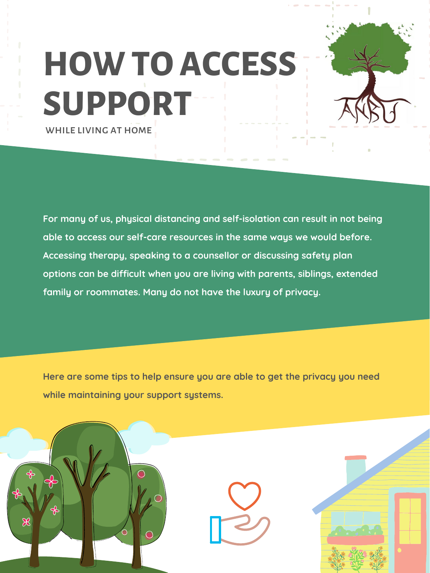**For many of us, physical distancing and self-isolation can result in not being able to access our self-care resources in the same ways we would before. Accessing therapy, speaking to a counsellor or discussing safety plan options can be difficult when you are living with parents, siblings, extended family or roommates. Many do not have the luxury of privacy.**

## **HOW TO ACCESS SUPPORT** while living at home

**Here are some tips to help ensure you are able to get the privacy you need while maintaining your support systems.**